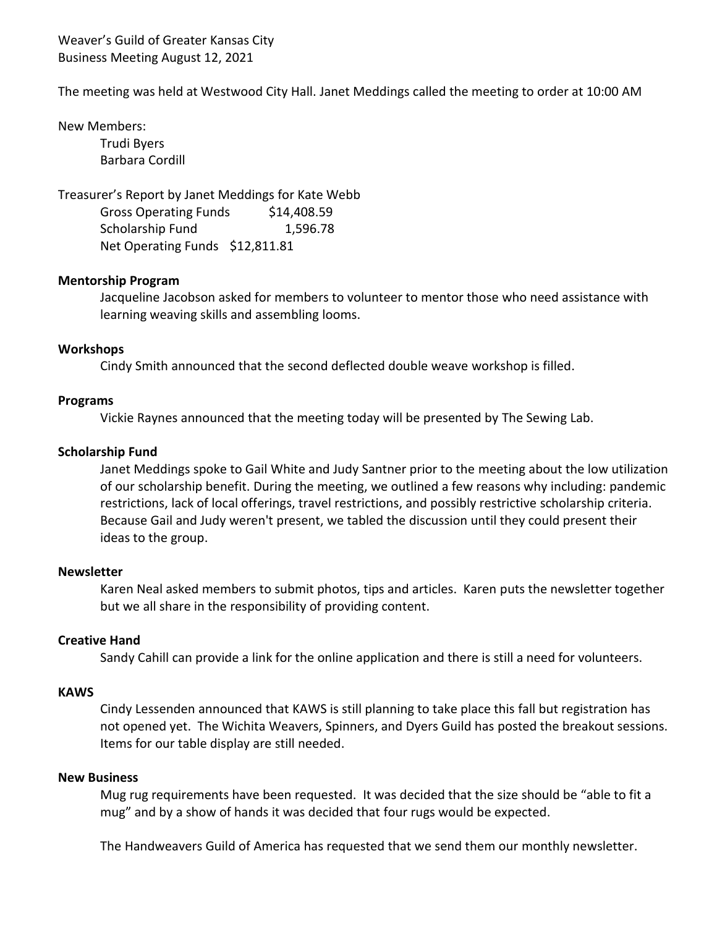Weaver's Guild of Greater Kansas City Business Meeting August 12, 2021

The meeting was held at Westwood City Hall. Janet Meddings called the meeting to order at 10:00 AM

New Members:

Trudi Byers Barbara Cordill

Treasurer's Report by Janet Meddings for Kate Webb Gross Operating Funds \$14,408.59 Scholarship Fund 1,596.78 Net Operating Funds \$12,811.81

## **Mentorship Program**

Jacqueline Jacobson asked for members to volunteer to mentor those who need assistance with learning weaving skills and assembling looms.

#### **Workshops**

Cindy Smith announced that the second deflected double weave workshop is filled.

## **Programs**

Vickie Raynes announced that the meeting today will be presented by The Sewing Lab.

# **Scholarship Fund**

Janet Meddings spoke to Gail White and Judy Santner prior to the meeting about the low utilization of our scholarship benefit. During the meeting, we outlined a few reasons why including: pandemic restrictions, lack of local offerings, travel restrictions, and possibly restrictive scholarship criteria. Because Gail and Judy weren't present, we tabled the discussion until they could present their ideas to the group.

# **Newsletter**

Karen Neal asked members to submit photos, tips and articles. Karen puts the newsletter together but we all share in the responsibility of providing content.

# **Creative Hand**

Sandy Cahill can provide a link for the online application and there is still a need for volunteers.

#### **KAWS**

Cindy Lessenden announced that KAWS is still planning to take place this fall but registration has not opened yet. The Wichita Weavers, Spinners, and Dyers Guild has posted the breakout sessions. Items for our table display are still needed.

## **New Business**

Mug rug requirements have been requested. It was decided that the size should be "able to fit a mug" and by a show of hands it was decided that four rugs would be expected.

The Handweavers Guild of America has requested that we send them our monthly newsletter.